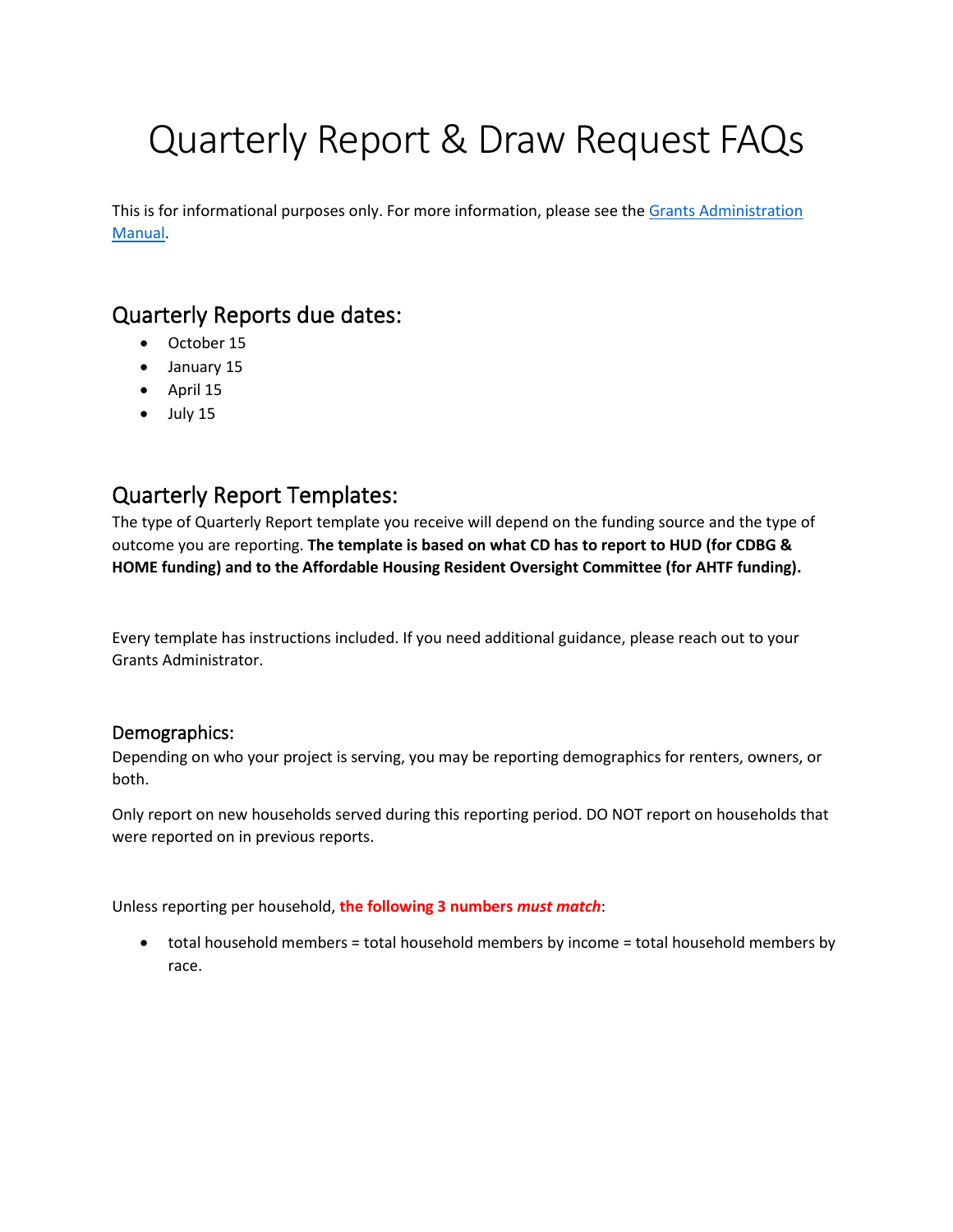# Quarterly Report & Draw Request FAQs

This is for informational purposes only. For more information, please see the [Grants Administration](http://www.ci.missoula.mt.us/DocumentCenter/View/53794/Missoula-HUD-Grants-Administration-Manual-)  [Manual.](http://www.ci.missoula.mt.us/DocumentCenter/View/53794/Missoula-HUD-Grants-Administration-Manual-)

## Quarterly Reports due dates:

- October 15
- January 15
- April 15
- $\bullet$  July 15

# Quarterly Report Templates:

The type of Quarterly Report template you receive will depend on the funding source and the type of outcome you are reporting. **The template is based on what CD has to report to HUD (for CDBG & HOME funding) and to the Affordable Housing Resident Oversight Committee (for AHTF funding).**

Every template has instructions included. If you need additional guidance, please reach out to your Grants Administrator.

#### Demographics:

Depending on who your project is serving, you may be reporting demographics for renters, owners, or both.

Only report on new households served during this reporting period. DO NOT report on households that were reported on in previous reports.

Unless reporting per household, **the following 3 numbers** *must match*:

• total household members = total household members by income = total household members by race.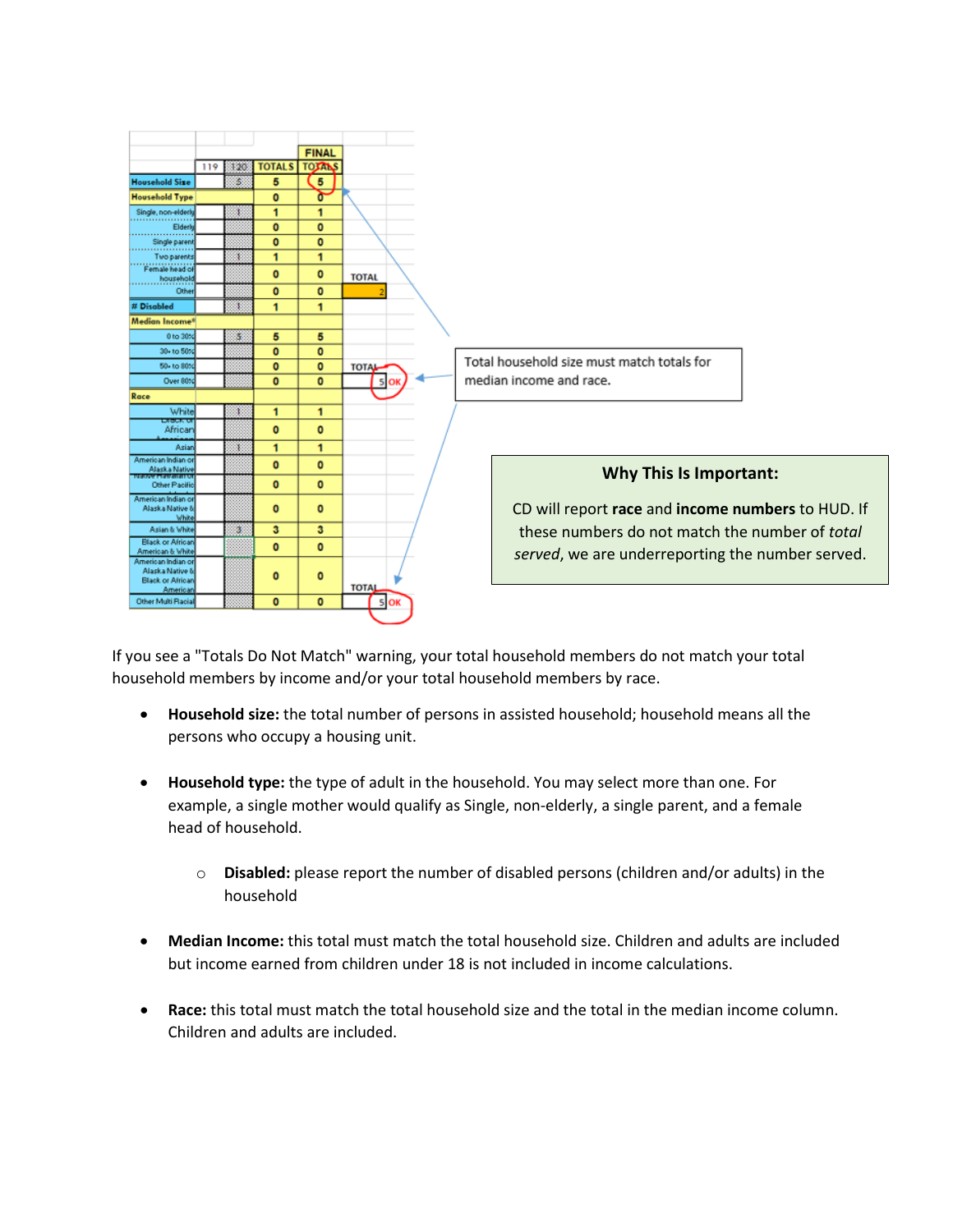

If you see a "Totals Do Not Match" warning, your total household members do not match your total household members by income and/or your total household members by race.

- **Household size:** the total number of persons in assisted household; household means all the persons who occupy a housing unit.
- **Household type:** the type of adult in the household. You may select more than one. For example, a single mother would qualify as Single, non-elderly, a single parent, and a female head of household.
	- o **Disabled:** please report the number of disabled persons (children and/or adults) in the household
- **Median Income:** this total must match the total household size. Children and adults are included but income earned from children under 18 is not included in income calculations.
- **Race:** this total must match the total household size and the total in the median income column. Children and adults are included.